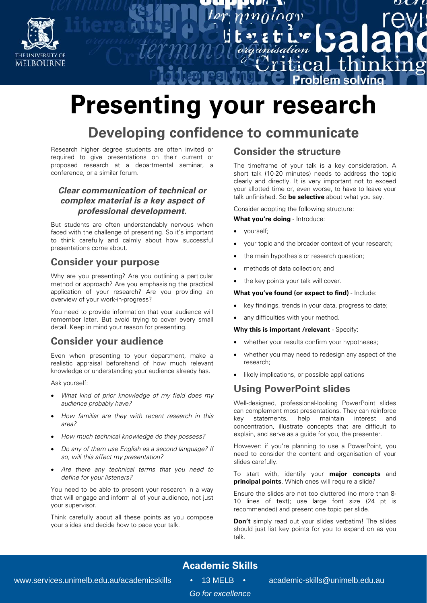

# **Presenting your research**

# **Developing confidence to communicate**

Research higher degree students are often invited or required to give presentations on their current or proposed research at a departmental seminar, a conference, or a similar forum.

#### **Clear communication of technical or complex material is a key aspect of professional development.**

But students are often understandably nervous when faced with the challenge of presenting. So it's important to think carefully and calmly about how successful presentations come about.

#### **Consider your purpose**

Why are you presenting? Are you outlining a particular method or approach? Are you emphasising the practical application of your research? Are you providing an overview of your work-in-progress?

You need to provide information that your audience will remember later. But avoid trying to cover every small detail. Keep in mind your reason for presenting.

#### **Consider your audience**

Even when presenting to your department, make a realistic appraisal beforehand of how much relevant knowledge or understanding your audience already has.

Ask yourself:

- What kind of prior knowledge of my field does my audience probably have?
- How familiar are they with recent research in this area?
- How much technical knowledge do they possess?
- Do any of them use English as a second language? If so, will this affect my presentation?
- Are there any technical terms that you need to define for your listeners?

You need to be able to present your research in a way that will engage and inform all of your audience, not just your supervisor.

Think carefully about all these points as you compose your slides and decide how to pace your talk.

#### **Consider the structure**

organisation

The timeframe of your talk is a key consideration. A short talk (10-20 minutes) needs to address the topic clearly and directly. It is very important not to exceed your allotted time or, even worse, to have to leave your talk unfinished. So **be selective** about what you say.

กำท

Consider adopting the following structure:

**What you're doing - Introduce:** 

- yourself;
- your topic and the broader context of your research;
- the main hypothesis or research question;
- methods of data collection; and
- the key points your talk will cover.

**What you've found (or expect to find)** - Include:

- key findings, trends in your data, progress to date;
- any difficulties with your method.

**Why this is important /relevant - Specify:** 

- whether your results confirm your hypotheses;
- whether you may need to redesign any aspect of the research;
- likely implications, or possible applications

#### **Using PowerPoint slides**

Well-designed, professional-looking PowerPoint slides can complement most presentations. They can reinforce key statements, help maintain interest and concentration, illustrate concepts that are difficult to explain, and serve as a guide for you, the presenter.

However: if you're planning to use a PowerPoint, you need to consider the content and organisation of your slides carefully.

To start with, identify your **major concepts** and **principal points**. Which ones will require a slide?

Ensure the slides are not too cluttered (no more than 8- 10 lines of text); use large font size (24 pt is recommended) and present one topic per slide.

**Don't** simply read out your slides verbatim! The slides should just list key points for you to expand on as you talk.

# **Academic Skills**

*Go for excellence*